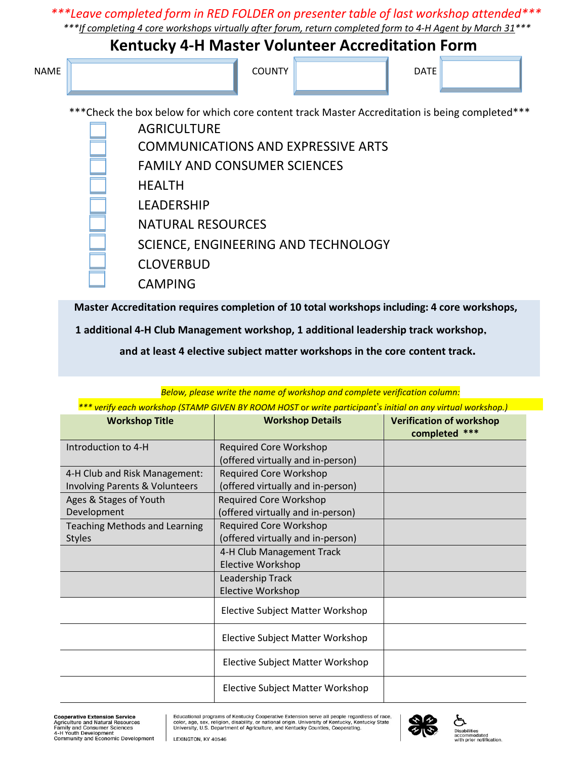## *\*\*\*Leave completed form in RED FOLDER on presenter table of last workshop attended\*\*\**

 *\*\*\*If completing 4 core workshops virtually after forum, return completed form to 4-H Agent by March 31\*\*\**

## **Kentucky 4-H Master Volunteer Accreditation Form**

| <b>NAME</b> | <b>COUNTY</b> | <b>DATE</b> |  |
|-------------|---------------|-------------|--|
|             |               |             |  |

\*\*\*Check the box below for which core content track Master Accreditation is being completed\*\*\*

AGRICULTURE COMMUNICATIONS AND EXPRESSIVE ARTS FAMILY AND CONSUMER SCIENCES HEALTH LEADERSHIP NATURAL RESOURCES SCIENCE, ENGINEERING AND TECHNOLOGY CLOVERBUD CAMPING

**Master Accreditation requires completion of 10 total workshops including: 4 core workshops,**

 **1 additional 4-H Club Management workshop, 1 additional leadership track workshop,** 

**and at least 4 elective subject matter workshops in the core content track.**

| *** verify each workshop (STAMP GIVEN BY ROOM HOST or write participant's initial on any virtual workshop.) |                                         |                                                  |  |  |  |
|-------------------------------------------------------------------------------------------------------------|-----------------------------------------|--------------------------------------------------|--|--|--|
| <b>Workshop Title</b>                                                                                       | <b>Workshop Details</b>                 | <b>Verification of workshop</b><br>completed *** |  |  |  |
| Introduction to 4-H                                                                                         | <b>Required Core Workshop</b>           |                                                  |  |  |  |
|                                                                                                             | (offered virtually and in-person)       |                                                  |  |  |  |
| 4-H Club and Risk Management:                                                                               | <b>Required Core Workshop</b>           |                                                  |  |  |  |
| Involving Parents & Volunteers                                                                              | (offered virtually and in-person)       |                                                  |  |  |  |
| Ages & Stages of Youth                                                                                      | <b>Required Core Workshop</b>           |                                                  |  |  |  |
| Development                                                                                                 | (offered virtually and in-person)       |                                                  |  |  |  |
| <b>Teaching Methods and Learning</b>                                                                        | <b>Required Core Workshop</b>           |                                                  |  |  |  |
| <b>Styles</b>                                                                                               | (offered virtually and in-person)       |                                                  |  |  |  |
|                                                                                                             | 4-H Club Management Track               |                                                  |  |  |  |
|                                                                                                             | Elective Workshop                       |                                                  |  |  |  |
|                                                                                                             | Leadership Track                        |                                                  |  |  |  |
|                                                                                                             | Elective Workshop                       |                                                  |  |  |  |
|                                                                                                             | <b>Elective Subject Matter Workshop</b> |                                                  |  |  |  |
|                                                                                                             | Elective Subject Matter Workshop        |                                                  |  |  |  |
|                                                                                                             | Elective Subject Matter Workshop        |                                                  |  |  |  |
|                                                                                                             | Elective Subject Matter Workshop        |                                                  |  |  |  |

*Below, please write the name of workshop and complete verification column:*

Educational programs of Kentucky Cooperative Extension serve all people regardless of race,<br>color, age, sex, religion, disability, or national origin. University of Kentucky, Kentucky State<br>University, U.S. Department of A



Disabilities<br>accommodated<br>with prior notification.

**Cooperative Extension Service**<br>Agriculture and Natural Resources<br>Family and Consumer Sciences<br>4-H Youth Development<br>Community and Economic Development